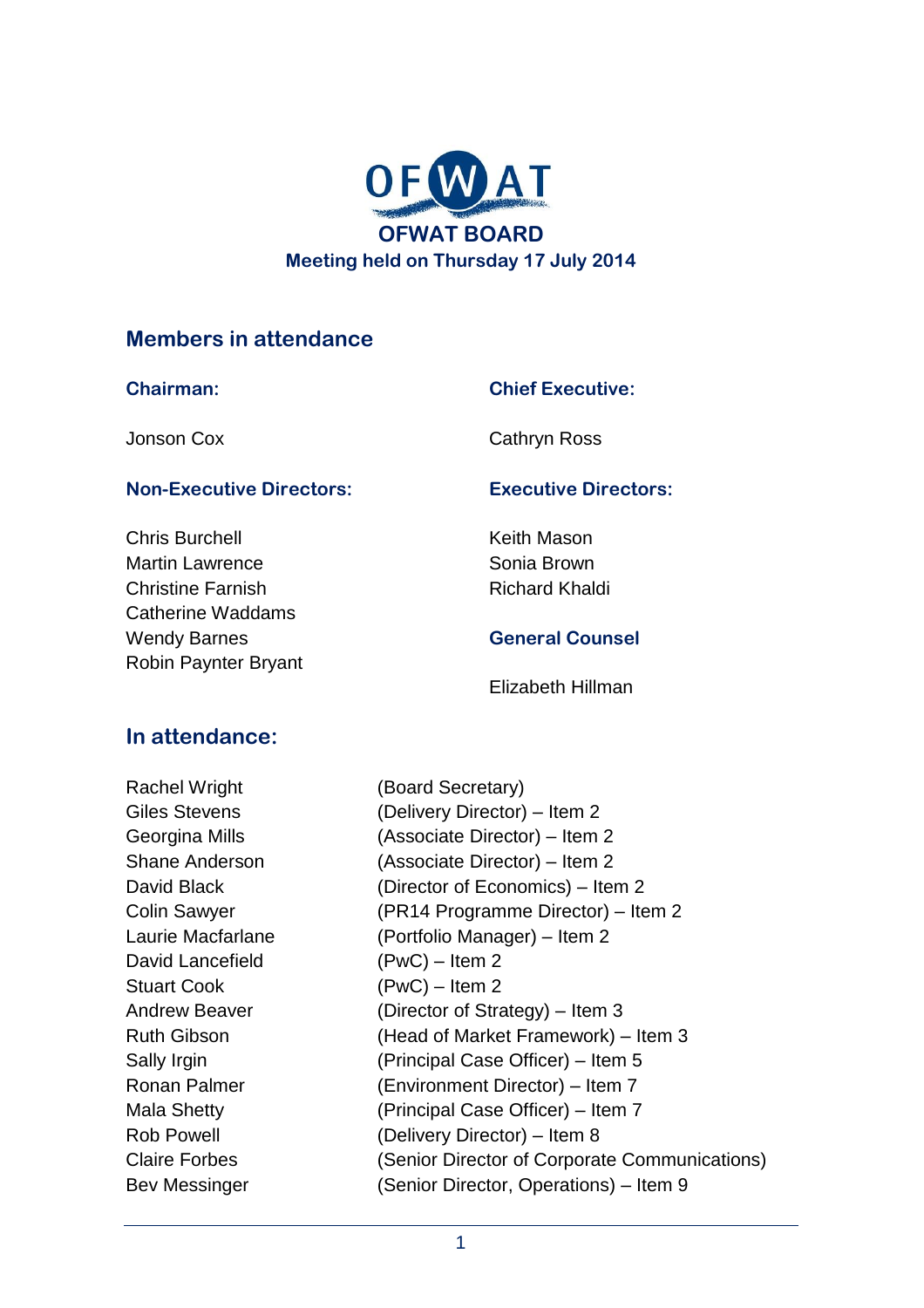

#### **Members in attendance**

#### **Chairman:**

Jonson Cox

#### **Chief Executive:**

Cathryn Ross

#### **Non-Executive Directors:**

Chris Burchell Martin Lawrence Christine Farnish Catherine Waddams Wendy Barnes Robin Paynter Bryant

#### **Executive Directors:**

Keith Mason Sonia Brown Richard Khaldi

#### **General Counsel**

Elizabeth Hillman

### **In attendance:**

Rachel Wright (Board Secretary) David Lancefield (PwC) – Item 2 Stuart Cook (PwC) – Item 2

Giles Stevens (Delivery Director) – Item 2 Georgina Mills (Associate Director) – Item 2 Shane Anderson (Associate Director) – Item 2 David Black (Director of Economics) – Item 2 Colin Sawyer (PR14 Programme Director) – Item 2 Laurie Macfarlane (Portfolio Manager) – Item 2 Andrew Beaver (Director of Strategy) – Item 3 Ruth Gibson (Head of Market Framework) – Item 3 Sally Irgin (Principal Case Officer) – Item 5 Ronan Palmer (Environment Director) – Item 7 Mala Shetty (Principal Case Officer) – Item 7 Rob Powell (Delivery Director) – Item 8 Claire Forbes (Senior Director of Corporate Communications) Bev Messinger (Senior Director, Operations) – Item 9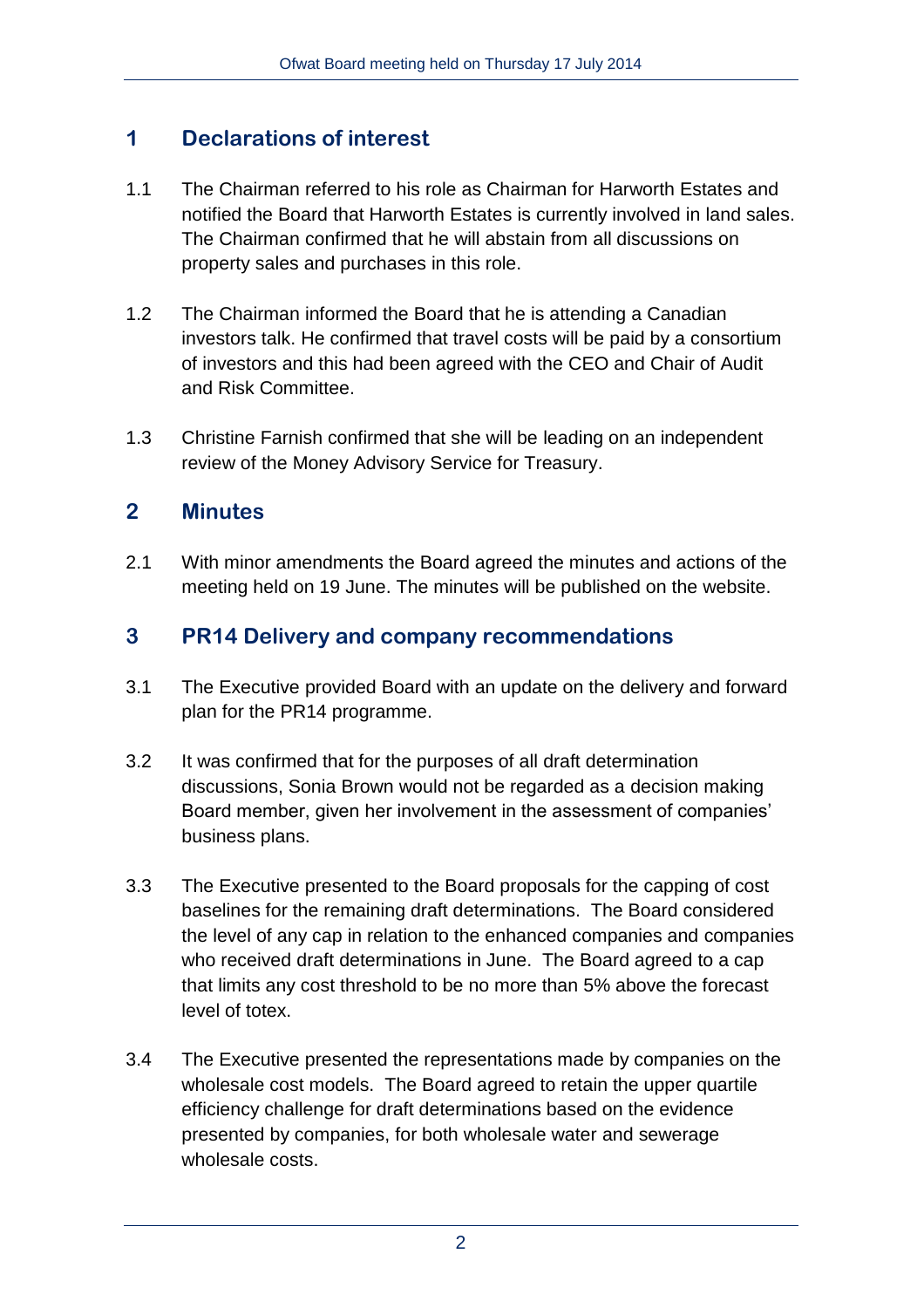## **1 Declarations of interest**

- 1.1 The Chairman referred to his role as Chairman for Harworth Estates and notified the Board that Harworth Estates is currently involved in land sales. The Chairman confirmed that he will abstain from all discussions on property sales and purchases in this role.
- 1.2 The Chairman informed the Board that he is attending a Canadian investors talk. He confirmed that travel costs will be paid by a consortium of investors and this had been agreed with the CEO and Chair of Audit and Risk Committee.
- 1.3 Christine Farnish confirmed that she will be leading on an independent review of the Money Advisory Service for Treasury.

## **2 Minutes**

2.1 With minor amendments the Board agreed the minutes and actions of the meeting held on 19 June. The minutes will be published on the website.

### **3 PR14 Delivery and company recommendations**

- 3.1 The Executive provided Board with an update on the delivery and forward plan for the PR14 programme.
- 3.2 It was confirmed that for the purposes of all draft determination discussions, Sonia Brown would not be regarded as a decision making Board member, given her involvement in the assessment of companies' business plans.
- 3.3 The Executive presented to the Board proposals for the capping of cost baselines for the remaining draft determinations. The Board considered the level of any cap in relation to the enhanced companies and companies who received draft determinations in June. The Board agreed to a cap that limits any cost threshold to be no more than 5% above the forecast level of totex.
- 3.4 The Executive presented the representations made by companies on the wholesale cost models. The Board agreed to retain the upper quartile efficiency challenge for draft determinations based on the evidence presented by companies, for both wholesale water and sewerage wholesale costs.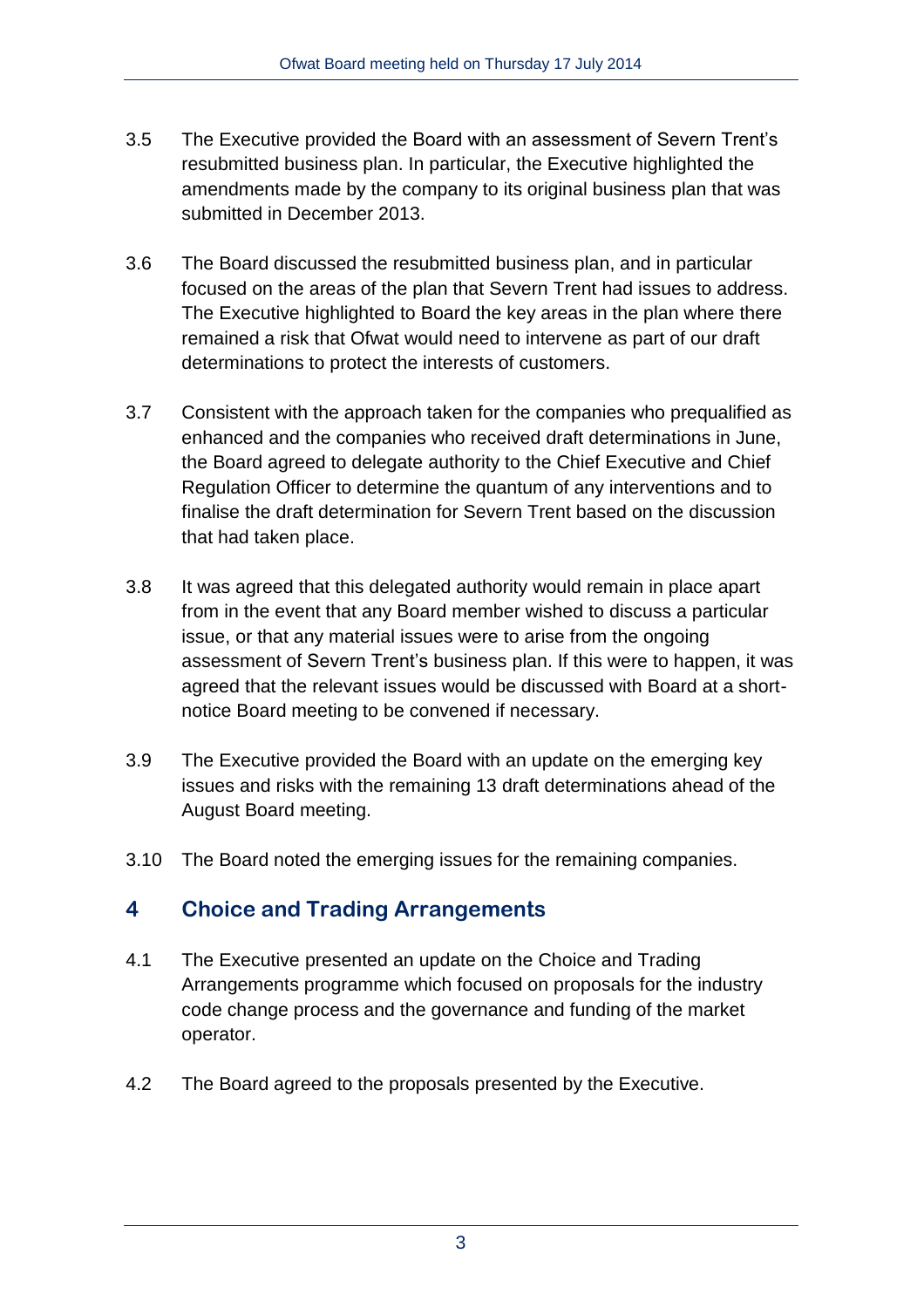- 3.5 The Executive provided the Board with an assessment of Severn Trent's resubmitted business plan. In particular, the Executive highlighted the amendments made by the company to its original business plan that was submitted in December 2013.
- 3.6 The Board discussed the resubmitted business plan, and in particular focused on the areas of the plan that Severn Trent had issues to address. The Executive highlighted to Board the key areas in the plan where there remained a risk that Ofwat would need to intervene as part of our draft determinations to protect the interests of customers.
- 3.7 Consistent with the approach taken for the companies who prequalified as enhanced and the companies who received draft determinations in June, the Board agreed to delegate authority to the Chief Executive and Chief Regulation Officer to determine the quantum of any interventions and to finalise the draft determination for Severn Trent based on the discussion that had taken place.
- 3.8 It was agreed that this delegated authority would remain in place apart from in the event that any Board member wished to discuss a particular issue, or that any material issues were to arise from the ongoing assessment of Severn Trent's business plan. If this were to happen, it was agreed that the relevant issues would be discussed with Board at a shortnotice Board meeting to be convened if necessary.
- 3.9 The Executive provided the Board with an update on the emerging key issues and risks with the remaining 13 draft determinations ahead of the August Board meeting.
- 3.10 The Board noted the emerging issues for the remaining companies.

## **4 Choice and Trading Arrangements**

- 4.1 The Executive presented an update on the Choice and Trading Arrangements programme which focused on proposals for the industry code change process and the governance and funding of the market operator.
- 4.2 The Board agreed to the proposals presented by the Executive.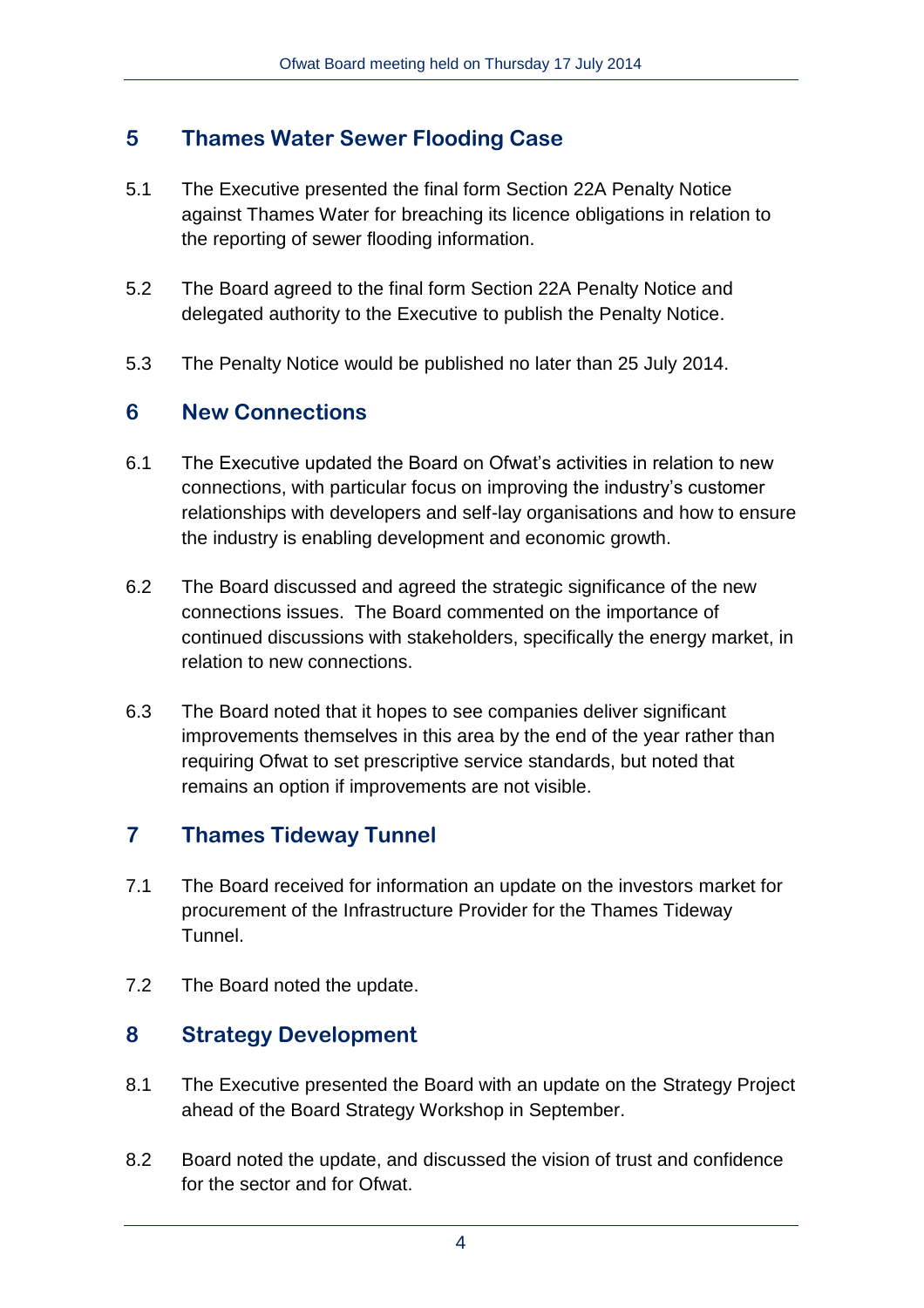## **5 Thames Water Sewer Flooding Case**

- 5.1 The Executive presented the final form Section 22A Penalty Notice against Thames Water for breaching its licence obligations in relation to the reporting of sewer flooding information.
- 5.2 The Board agreed to the final form Section 22A Penalty Notice and delegated authority to the Executive to publish the Penalty Notice.
- 5.3 The Penalty Notice would be published no later than 25 July 2014.

### **6 New Connections**

- 6.1 The Executive updated the Board on Ofwat's activities in relation to new connections, with particular focus on improving the industry's customer relationships with developers and self-lay organisations and how to ensure the industry is enabling development and economic growth.
- 6.2 The Board discussed and agreed the strategic significance of the new connections issues. The Board commented on the importance of continued discussions with stakeholders, specifically the energy market, in relation to new connections.
- 6.3 The Board noted that it hopes to see companies deliver significant improvements themselves in this area by the end of the year rather than requiring Ofwat to set prescriptive service standards, but noted that remains an option if improvements are not visible.

## **7 Thames Tideway Tunnel**

- 7.1 The Board received for information an update on the investors market for procurement of the Infrastructure Provider for the Thames Tideway Tunnel.
- 7.2 The Board noted the update.

### **8 Strategy Development**

- 8.1 The Executive presented the Board with an update on the Strategy Project ahead of the Board Strategy Workshop in September.
- 8.2 Board noted the update, and discussed the vision of trust and confidence for the sector and for Ofwat.